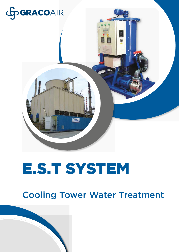

## E.S.T SYSTEM

### Cooling Tower Water Treatment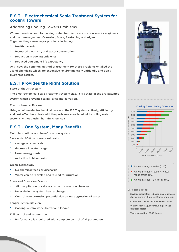#### **E.S.T - Electrochemical Scale Treatment System for cooling towers**

#### Addressing Cooling Towers Problems

Where there is a need for cooling water, four factors cause concern for engineers and plant management: Corrosion, Scale, Bio-fouling and Algae Together, they cause major problems including:

- Health hazards
- Increased electricity and water consumption
- Reduction in cooling efficiency
- Reduced equipment life expectancy

Until now, the common method of treatment for these problems entailed the use of chemicals which are expensive, environmentally unfriendly and don't guarantee results.

#### **E.S.T Provides the Right Solution**

State of the Art System

The Electrochemical Scale Treatment System (E.S.T) is a state of the art, patented system which prevents scaling, alga and corrosion.

#### Electrochemical Process

Using a unique electrochemical process , the E.S.T system actively, efficiently and cost effectively deals with the problems associated with cooling water systems without using harmful chemicals.

#### **E.S.T - One System, Many Benefits**

Multiple solutions and benefits in one system: Save up to 60% on operational costs:

- savings on chemicals
- decrease in water usage
- lower energy costs
- reduction in labor costs

#### Green Technology

- No chemical feeds or discharge
- Water can be recycled and reused for irrigation

#### Scale and Corrosion Control

- All precipitation of salts occurs in the reaction chamber
- No scale in the system heat exchangers
- Control over corrosion potential due to low aggression of water

#### Longer system lifespan

Cooling system works better and longer

Full control and supervision

Performance is monitored with complete control of all parameters







Annual savings - reuse of water for irrigation (USD)

Annual savings - chemicals (USD)

#### Basic assumptions:

- Savings calculation is based on actual case stusies done by Elgressy Engineering Ltd.
- $\cdot$  Chemicals cost: 0.3\$/m<sup>3</sup> (make up water)
- $\cdot$  Water cost = 1.5\$/m<sup>3</sup> (including sewage disposal costs)
- Tower operation: 2000 hrs/yr.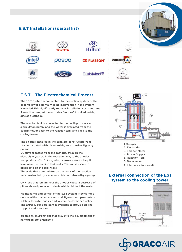

#### **E.S.T – The Electrochemical Process**

The E.S.T System is connected to the cooling system or the cooling tower externally so no intervention in the system is needed. This significantly reduces installation costs andtime. A reaction tank, with electrodes (anodes) installed inside, acts as a cathode.

The reaction tank is connected to the cooling tower via a circulaton pump, and the water is circulated from the cooling tower basin to the reaction tank and back to the cooling tower.

The anodes installed in the tank are constructed from titanium coated wi th nickel oxide, an exc lusive Elgressy patent.

DC current passes from the cathode, through the electrolyte (water) in the reaction tank, to the anodes and produces OH  $^{\wedge}$ - ions, which causes a rise in the pH level near the reaction tank walls. This causes scale to precipitate on the tank walls.

The scale that accumulates on the walls of the reaction tank is extracted by a scraper which is controled by a pump.

OH+ ions that remain near the anodes cause a decrease of pH levels and produce oxidants which disinfect the water.

Maintenance and control of the E.S.T system is performed on site with constant access to all figurers and parameters relating to water quality and system performance online. The Elgressy support team is available to provide on-line support and solutions.

creates an environment that prevents the development of harmful micro-organisms.



- 1. Scraper
- 2. Electrodes
- 3. Scraper Motor
- 4. Power Supply
- 5. Reaction Tank
- 6. Drain valve
- 7. Inlet valve (optional)

#### **External connection of the EST system to the cooling tower**



**OD GRACOAIR**